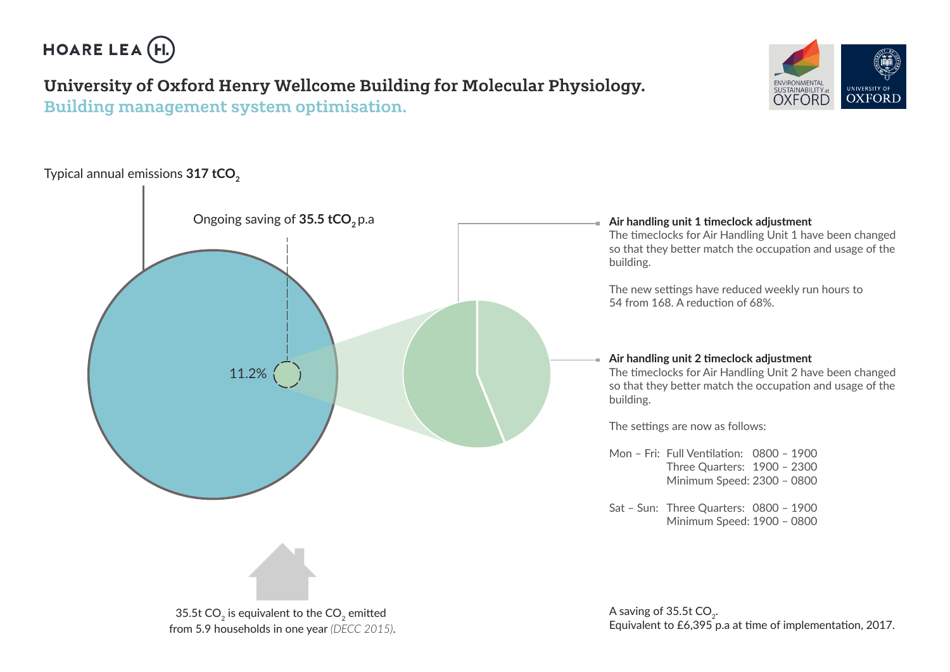

## University of Oxford Henry Wellcome Building for Molecular Physiology. Building management system optimisation.





from 5.9 households in one year *(DECC 2015)*.

Equivalent to £6,395 p.a at time of implementation, 2017.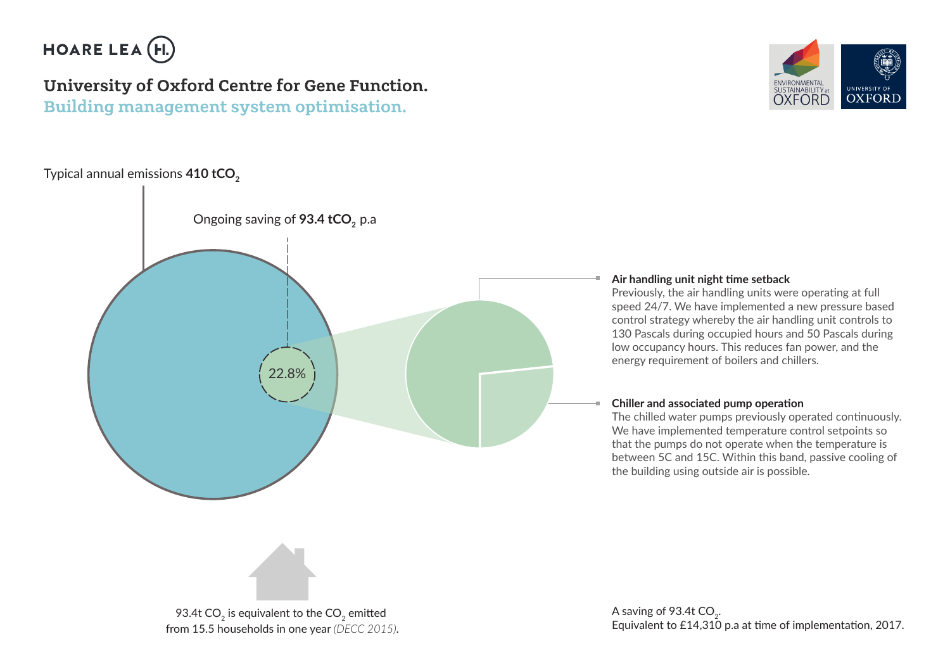

## University of Oxford Centre for Gene Function. Building management system optimisation.

## Typical annual emissions 410 tCO<sub>2</sub>





## **Air handling unit night time setback**

Previously, the air handling units were operating at full speed 24/7. We have implemented a new pressure based control strategy whereby the air handling unit controls to 130 Pascals during occupied hours and 50 Pascals during low occupancy hours. This reduces fan power, and the energy requirement of boilers and chillers.

### **Chiller and associated pump operation**

The chilled water pumps previously operated continuously. We have implemented temperature control setpoints so that the pumps do not operate when the temperature is between 5C and 15C. Within this band, passive cooling of the building using outside air is possible.



93.4t  $CO<sub>2</sub>$  is equivalent to the  $CO<sub>2</sub>$  emitted from 15.5 households in one year *(DECC 2015)*. A saving of 93.4t  $CO<sub>2</sub>$ . Equivalent to £14,310 p.a at time of implementation, 2017.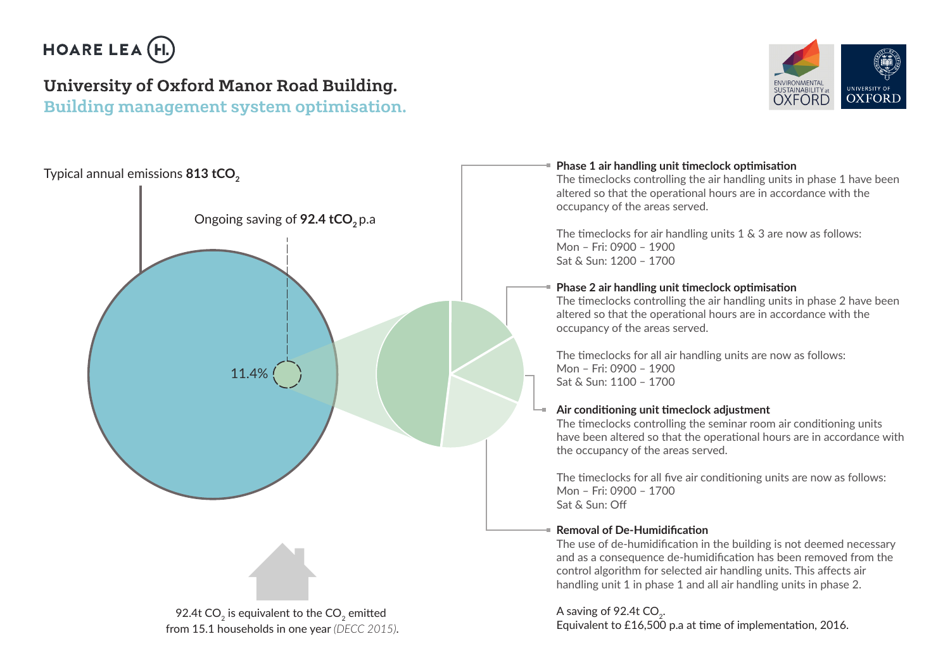

# University of Oxford Manor Road Building.

Building management system optimisation.





## **Phase 1 air handling unit timeclock optimisation**

The timeclocks controlling the air handling units in phase 1 have been altered so that the operational hours are in accordance with the occupancy of the areas served.

The timeclocks for air handling units 1 & 3 are now as follows: Mon – Fri: 0900 – 1900 Sat & Sun: 1200 – 1700

## **Phase 2 air handling unit timeclock optimisation**

The timeclocks controlling the air handling units in phase 2 have been altered so that the operational hours are in accordance with the occupancy of the areas served.

The timeclocks for all air handling units are now as follows: Mon – Fri: 0900 – 1900 Sat & Sun: 1100 – 1700

## **Air conditioning unit timeclock adjustment**

The timeclocks controlling the seminar room air conditioning units have been altered so that the operational hours are in accordance with the occupancy of the areas served.

The timeclocks for all five air conditioning units are now as follows: Mon – Fri: 0900 – 1700 Sat & Sun: Off

## **Removal of De-Humidification**

The use of de-humidification in the building is not deemed necessary and as a consequence de-humidification has been removed from the control algorithm for selected air handling units. This affects air handling unit 1 in phase 1 and all air handling units in phase 2.

## A saving of 92.4t CO<sub>2</sub>.

Equivalent to £16,500 p.a at time of implementation, 2016.